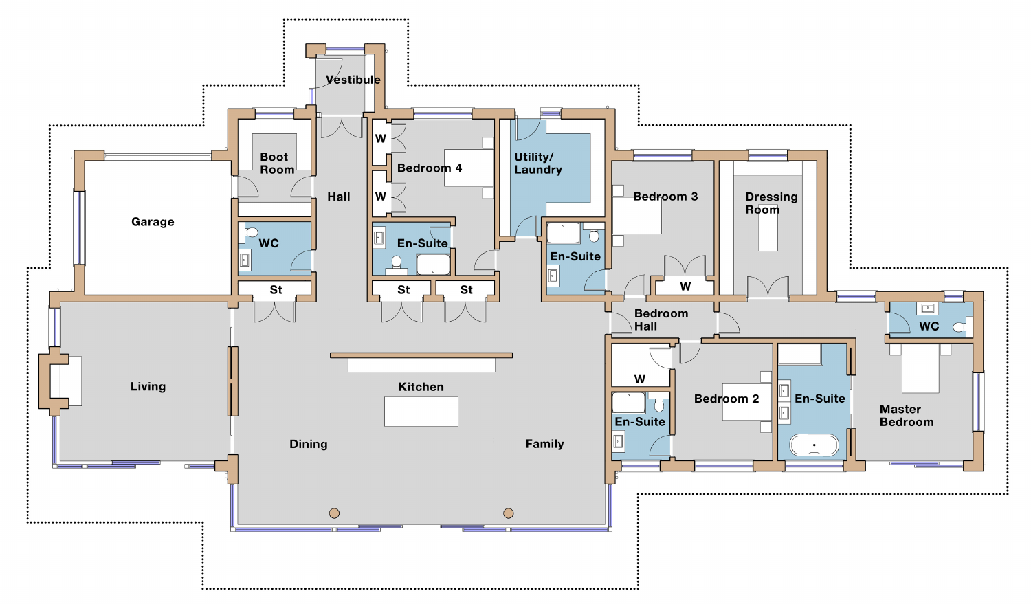